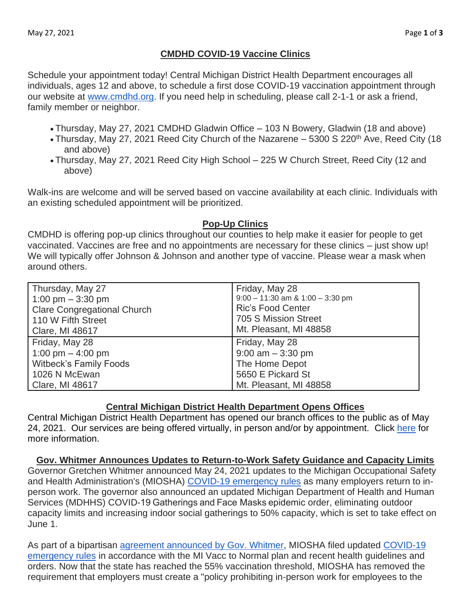# **CMDHD COVID-19 Vaccine Clinics**

Schedule your appointment today! Central Michigan District Health Department encourages all individuals, ages 12 and above, to schedule a first dose COVID-19 vaccination appointment through our website at [www.cmdhd.org.](http://www.cmdhd.org/) If you need help in scheduling, please call 2-1-1 or ask a friend, family member or neighbor.

- Thursday, May 27, 2021 CMDHD Gladwin Office 103 N Bowery, Gladwin (18 and above)
- Thursday, May 27, 2021 Reed City Church of the Nazarene 5300 S 220<sup>th</sup> Ave, Reed City (18 and above)
- Thursday, May 27, 2021 Reed City High School 225 W Church Street, Reed City (12 and above)

Walk-ins are welcome and will be served based on vaccine availability at each clinic. Individuals with an existing scheduled appointment will be prioritized.

### **Pop-Up Clinics**

CMDHD is offering pop-up clinics throughout our counties to help make it easier for people to get vaccinated. Vaccines are free and no appointments are necessary for these clinics – just show up! We will typically offer Johnson & Johnson and another type of vaccine. Please wear a mask when around others.

| Thursday, May 27                   | Friday, May 28                       |
|------------------------------------|--------------------------------------|
| 1:00 pm $-$ 3:30 pm                | $9:00 - 11:30$ am & $1:00 - 3:30$ pm |
| <b>Clare Congregational Church</b> | <b>Ric's Food Center</b>             |
| 110 W Fifth Street                 | 705 S Mission Street                 |
| Clare, MI 48617                    | Mt. Pleasant, MI 48858               |
| Friday, May 28                     | Friday, May 28                       |
| 1:00 pm $-$ 4:00 pm                | $9:00$ am $-3:30$ pm                 |
| <b>Witbeck's Family Foods</b>      | The Home Depot                       |
| 1026 N McEwan                      | 5650 E Pickard St                    |
| Clare, MI 48617                    | Mt. Pleasant, MI 48858               |

## **Central Michigan District Health Department Opens Offices**

Central Michigan District Health Department has opened our branch offices to the public as of May 24, 2021. Our services are being offered virtually, in person and/or by appointment. Click [here](https://www.cmdhd.org/special-hours) for more information.

**Gov. Whitmer Announces Updates to Return-to-Work Safety Guidance and Capacity Limits** Governor Gretchen Whitmer announced May 24, 2021 updates to the Michigan Occupational Safety and Health Administration's (MIOSHA) [COVID-19 emergency rules](https://gcc02.safelinks.protection.outlook.com/?url=https%3A%2F%2Flnks.gd%2Fl%2FeyJhbGciOiJIUzI1NiJ9.eyJidWxsZXRpbl9saW5rX2lkIjoxMDEsInVyaSI6ImJwMjpjbGljayIsImJ1bGxldGluX2lkIjoiMjAyMTA1MjQuNDA5OTI2MTEiLCJ1cmwiOiJodHRwczovL3d3dy5taWNoaWdhbi5nb3YvZG9jdW1lbnRzL2xlby9NSU9TSEFfQ09WSURfRW1lcmdlbmN5X1J1bGVzXzcyNjEwMF83LnBkZiJ9.4lZqs8G19qby8aHa4rtn5D1vRMplb7zCm81OeT4HW_Y%2Fs%2F989259190%2Fbr%2F106860854737-l&data=04%7C01%7Cchaset2%40michigan.gov%7C9f5133ecf1b7408bbc3208d91ecb0162%7Cd5fb7087377742ad966a892ef47225d1%7C0%7C1%7C637574679522986065%7CUnknown%7CTWFpbGZsb3d8eyJWIjoiMC4wLjAwMDAiLCJQIjoiV2luMzIiLCJBTiI6Ik1haWwiLCJXVCI6Mn0%3D%7C1000&sdata=CKJGRkayMG0%2FWzQ3uYd8E8X3nhgkuKoeh3PqDYYldFA%3D&reserved=0) as many employers return to inperson work. The governor also announced an updated Michigan Department of Health and Human Services (MDHHS) COVID-19 Gatherings and Face Masks epidemic order, eliminating outdoor capacity limits and increasing indoor social gatherings to 50% capacity, which is set to take effect on June 1.

As part of a bipartisan [agreement announced by Gov. Whitmer,](https://gcc02.safelinks.protection.outlook.com/?url=https%3A%2F%2Flnks.gd%2Fl%2FeyJhbGciOiJIUzI1NiJ9.eyJidWxsZXRpbl9saW5rX2lkIjoxMDIsInVyaSI6ImJwMjpjbGljayIsImJ1bGxldGluX2lkIjoiMjAyMTA1MjQuNDA5OTI2MTEiLCJ1cmwiOiJodHRwczovL2NvbnRlbnQuZ292ZGVsaXZlcnkuY29tL2FjY291bnRzL01JRU9HL2J1bGxldGlucy8yZGE1N2Y3P3JlcWZyb209c2hhcmUifQ.q9VJimwfZmb1b_3myfpO6pBjGUENHE0_geEN3sQgMYE%2Fs%2F989259190%2Fbr%2F106860854737-l&data=04%7C01%7Cchaset2%40michigan.gov%7C9f5133ecf1b7408bbc3208d91ecb0162%7Cd5fb7087377742ad966a892ef47225d1%7C0%7C1%7C637574679522996034%7CUnknown%7CTWFpbGZsb3d8eyJWIjoiMC4wLjAwMDAiLCJQIjoiV2luMzIiLCJBTiI6Ik1haWwiLCJXVCI6Mn0%3D%7C1000&sdata=WmCQMlfDD1RPUZOs8fjBtjHhTRmThvJrAvmIfttXT4w%3D&reserved=0) MIOSHA filed updated [COVID-19](https://gcc02.safelinks.protection.outlook.com/?url=https%3A%2F%2Flnks.gd%2Fl%2FeyJhbGciOiJIUzI1NiJ9.eyJidWxsZXRpbl9saW5rX2lkIjoxMDMsInVyaSI6ImJwMjpjbGljayIsImJ1bGxldGluX2lkIjoiMjAyMTA1MjQuNDA5OTI2MTEiLCJ1cmwiOiJodHRwczovL3d3dy5taWNoaWdhbi5nb3YvZG9jdW1lbnRzL2xlby9NSU9TSEFfQ09WSURfRW1lcmdlbmN5X1J1bGVzXzcyNjEwMF83LnBkZiJ9.oLS57pZVaDz8vaGiHQjtJO2bUrLEyEjIgRu7ixnFn1w%2Fs%2F989259190%2Fbr%2F106860854737-l&data=04%7C01%7Cchaset2%40michigan.gov%7C9f5133ecf1b7408bbc3208d91ecb0162%7Cd5fb7087377742ad966a892ef47225d1%7C0%7C1%7C637574679522996034%7CUnknown%7CTWFpbGZsb3d8eyJWIjoiMC4wLjAwMDAiLCJQIjoiV2luMzIiLCJBTiI6Ik1haWwiLCJXVCI6Mn0%3D%7C1000&sdata=oObxvNPZtldFZCc%2BX4QwKXtJ5C5ENtBftkhIjxkjzxg%3D&reserved=0)  [emergency rules](https://gcc02.safelinks.protection.outlook.com/?url=https%3A%2F%2Flnks.gd%2Fl%2FeyJhbGciOiJIUzI1NiJ9.eyJidWxsZXRpbl9saW5rX2lkIjoxMDMsInVyaSI6ImJwMjpjbGljayIsImJ1bGxldGluX2lkIjoiMjAyMTA1MjQuNDA5OTI2MTEiLCJ1cmwiOiJodHRwczovL3d3dy5taWNoaWdhbi5nb3YvZG9jdW1lbnRzL2xlby9NSU9TSEFfQ09WSURfRW1lcmdlbmN5X1J1bGVzXzcyNjEwMF83LnBkZiJ9.oLS57pZVaDz8vaGiHQjtJO2bUrLEyEjIgRu7ixnFn1w%2Fs%2F989259190%2Fbr%2F106860854737-l&data=04%7C01%7Cchaset2%40michigan.gov%7C9f5133ecf1b7408bbc3208d91ecb0162%7Cd5fb7087377742ad966a892ef47225d1%7C0%7C1%7C637574679522996034%7CUnknown%7CTWFpbGZsb3d8eyJWIjoiMC4wLjAwMDAiLCJQIjoiV2luMzIiLCJBTiI6Ik1haWwiLCJXVCI6Mn0%3D%7C1000&sdata=oObxvNPZtldFZCc%2BX4QwKXtJ5C5ENtBftkhIjxkjzxg%3D&reserved=0) in accordance with the MI Vacc to Normal plan and recent health guidelines and orders. Now that the state has reached the 55% vaccination threshold, MIOSHA has removed the requirement that employers must create a "policy prohibiting in-person work for employees to the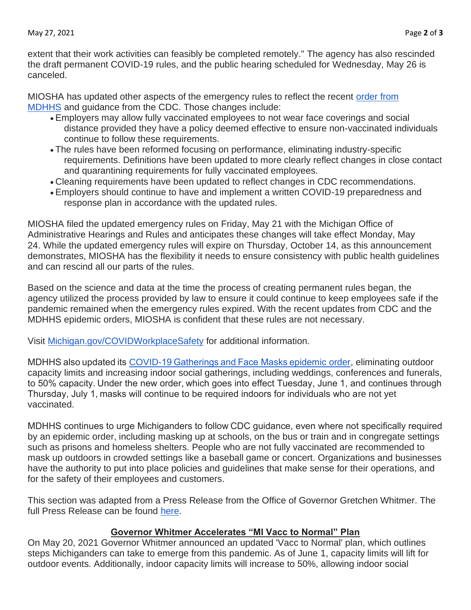extent that their work activities can feasibly be completed remotely." The agency has also rescinded the draft permanent COVID-19 rules, and the public hearing scheduled for Wednesday, May 26 is canceled.

MIOSHA has updated other aspects of the emergency rules to reflect the recent [order from](https://gcc02.safelinks.protection.outlook.com/?url=https%3A%2F%2Flnks.gd%2Fl%2FeyJhbGciOiJIUzI1NiJ9.eyJidWxsZXRpbl9saW5rX2lkIjoxMDQsInVyaSI6ImJwMjpjbGljayIsImJ1bGxldGluX2lkIjoiMjAyMTA1MjQuNDA5OTI2MTEiLCJ1cmwiOiJodHRwczovL3d3dy5taWNoaWdhbi5nb3YvY29yb25hdmlydXMvMCw5NzUzLDctNDA2LTk4MTc4Xzk4NDU1LTU1OTU4OS0tLDAwLmh0bWwifQ.fBCwx4LIBjNZsZhUKHT_9X1XUnRZDioh7na0IcCPywk%2Fs%2F989259190%2Fbr%2F106860854737-l&data=04%7C01%7Cchaset2%40michigan.gov%7C9f5133ecf1b7408bbc3208d91ecb0162%7Cd5fb7087377742ad966a892ef47225d1%7C0%7C1%7C637574679523005983%7CUnknown%7CTWFpbGZsb3d8eyJWIjoiMC4wLjAwMDAiLCJQIjoiV2luMzIiLCJBTiI6Ik1haWwiLCJXVCI6Mn0%3D%7C1000&sdata=cxUhyZw7w%2BTIaNkFcle4pK0SkirtbN9BvdsLIQlQId4%3D&reserved=0)  [MDHHS](https://gcc02.safelinks.protection.outlook.com/?url=https%3A%2F%2Flnks.gd%2Fl%2FeyJhbGciOiJIUzI1NiJ9.eyJidWxsZXRpbl9saW5rX2lkIjoxMDQsInVyaSI6ImJwMjpjbGljayIsImJ1bGxldGluX2lkIjoiMjAyMTA1MjQuNDA5OTI2MTEiLCJ1cmwiOiJodHRwczovL3d3dy5taWNoaWdhbi5nb3YvY29yb25hdmlydXMvMCw5NzUzLDctNDA2LTk4MTc4Xzk4NDU1LTU1OTU4OS0tLDAwLmh0bWwifQ.fBCwx4LIBjNZsZhUKHT_9X1XUnRZDioh7na0IcCPywk%2Fs%2F989259190%2Fbr%2F106860854737-l&data=04%7C01%7Cchaset2%40michigan.gov%7C9f5133ecf1b7408bbc3208d91ecb0162%7Cd5fb7087377742ad966a892ef47225d1%7C0%7C1%7C637574679523005983%7CUnknown%7CTWFpbGZsb3d8eyJWIjoiMC4wLjAwMDAiLCJQIjoiV2luMzIiLCJBTiI6Ik1haWwiLCJXVCI6Mn0%3D%7C1000&sdata=cxUhyZw7w%2BTIaNkFcle4pK0SkirtbN9BvdsLIQlQId4%3D&reserved=0) and guidance from the CDC. Those changes include:

- Employers may allow fully vaccinated employees to not wear face coverings and social distance provided they have a policy deemed effective to ensure non-vaccinated individuals continue to follow these requirements.
- The rules have been reformed focusing on performance, eliminating industry-specific requirements. Definitions have been updated to more clearly reflect changes in close contact and quarantining requirements for fully vaccinated employees.
- Cleaning requirements have been updated to reflect changes in CDC recommendations.
- Employers should continue to have and implement a written COVID-19 preparedness and response plan in accordance with the updated rules.

MIOSHA filed the updated emergency rules on Friday, May 21 with the Michigan Office of Administrative Hearings and Rules and anticipates these changes will take effect Monday, May 24. While the updated emergency rules will expire on Thursday, October 14, as this announcement demonstrates, MIOSHA has the flexibility it needs to ensure consistency with public health guidelines and can rescind all our parts of the rules.

Based on the science and data at the time the process of creating permanent rules began, the agency utilized the process provided by law to ensure it could continue to keep employees safe if the pandemic remained when the emergency rules expired. With the recent updates from CDC and the MDHHS epidemic orders, MIOSHA is confident that these rules are not necessary.

Visit [Michigan.gov/COVIDWorkplaceSafety](https://gcc02.safelinks.protection.outlook.com/?url=https%3A%2F%2Flnks.gd%2Fl%2FeyJhbGciOiJIUzI1NiJ9.eyJidWxsZXRpbl9saW5rX2lkIjoxMDUsInVyaSI6ImJwMjpjbGljayIsImJ1bGxldGluX2lkIjoiMjAyMTA1MjQuNDA5OTI2MTEiLCJ1cmwiOiJodHRwczovL3d3dy5taWNoaWdhbi5nb3YvY292aWR3b3JrcGxhY2VzYWZldHkifQ.om-CDXVvU-TB8N2hy-KlkXrbt4iDYgEWMTG3QGmH2R8%2Fs%2F989259190%2Fbr%2F106860854737-l&data=04%7C01%7Cchaset2%40michigan.gov%7C9f5133ecf1b7408bbc3208d91ecb0162%7Cd5fb7087377742ad966a892ef47225d1%7C0%7C1%7C637574679523005983%7CUnknown%7CTWFpbGZsb3d8eyJWIjoiMC4wLjAwMDAiLCJQIjoiV2luMzIiLCJBTiI6Ik1haWwiLCJXVCI6Mn0%3D%7C1000&sdata=YrGQ7gVhHzyCGSimoR8%2FSilRyn0PWt%2BkEdsx0p1%2Bk1M%3D&reserved=0) for additional information.

MDHHS also updated its [COVID-19 Gatherings and Face Masks epidemic](https://www.michigan.gov/coronavirus/0,9753,7-406-98178_98455-560465--,00.html) order, eliminating outdoor capacity limits and increasing indoor social gatherings, including weddings, conferences and funerals, to 50% capacity. Under the new order, which goes into effect Tuesday, June 1, and continues through Thursday, July 1, masks will continue to be required indoors for individuals who are not yet vaccinated.

MDHHS continues to urge Michiganders to follow CDC guidance, even where not specifically required by an epidemic order, including masking up at schools, on the bus or train and in congregate settings such as prisons and homeless shelters. People who are not fully vaccinated are recommended to mask up outdoors in crowded settings like a baseball game or concert. Organizations and businesses have the authority to put into place policies and guidelines that make sense for their operations, and for the safety of their employees and customers.

This section was adapted from a Press Release from the Office of Governor Gretchen Whitmer. The full Press Release can be found [here.](https://www.michigan.gov/whitmer/0,9309,7-387-90487-560488--,00.html)

## **Governor Whitmer Accelerates "MI Vacc to Normal" Plan**

On May 20, 2021 Governor Whitmer announced an updated 'Vacc to Normal' plan, which outlines steps Michiganders can take to emerge from this pandemic. As of June 1, capacity limits will lift for outdoor events. Additionally, indoor capacity limits will increase to 50%, allowing indoor social